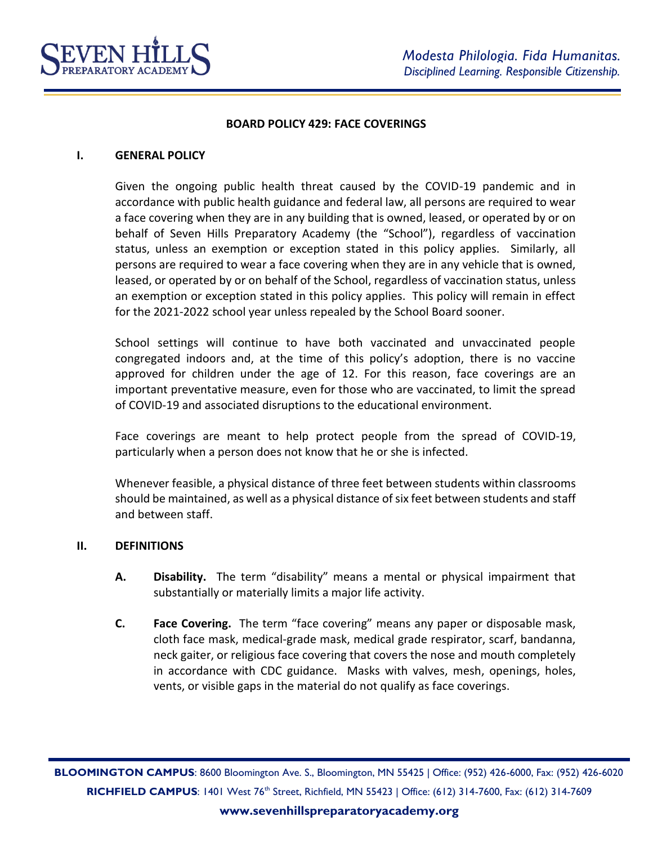

### **BOARD POLICY 429: FACE COVERINGS**

### **I. GENERAL POLICY**

Given the ongoing public health threat caused by the COVID-19 pandemic and in accordance with public health guidance and federal law, all persons are required to wear a face covering when they are in any building that is owned, leased, or operated by or on behalf of Seven Hills Preparatory Academy (the "School"), regardless of vaccination status, unless an exemption or exception stated in this policy applies. Similarly, all persons are required to wear a face covering when they are in any vehicle that is owned, leased, or operated by or on behalf of the School, regardless of vaccination status, unless an exemption or exception stated in this policy applies. This policy will remain in effect for the 2021-2022 school year unless repealed by the School Board sooner.

School settings will continue to have both vaccinated and unvaccinated people congregated indoors and, at the time of this policy's adoption, there is no vaccine approved for children under the age of 12. For this reason, face coverings are an important preventative measure, even for those who are vaccinated, to limit the spread of COVID-19 and associated disruptions to the educational environment.

Face coverings are meant to help protect people from the spread of COVID-19, particularly when a person does not know that he or she is infected.

Whenever feasible, a physical distance of three feet between students within classrooms should be maintained, as well as a physical distance of six feet between students and staff and between staff.

### **II. DEFINITIONS**

- **A. Disability.** The term "disability" means a mental or physical impairment that substantially or materially limits a major life activity.
- **C. Face Covering.** The term "face covering" means any paper or disposable mask, cloth face mask, medical-grade mask, medical grade respirator, scarf, bandanna, neck gaiter, or religious face covering that covers the nose and mouth completely in accordance with CDC guidance. Masks with valves, mesh, openings, holes, vents, or visible gaps in the material do not qualify as face coverings.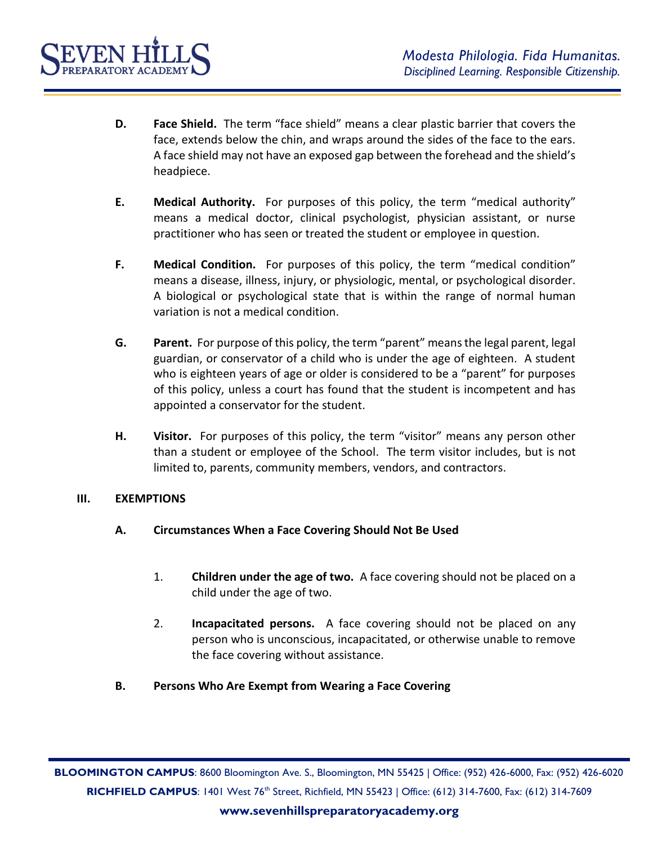

- **D. Face Shield.** The term "face shield" means a clear plastic barrier that covers the face, extends below the chin, and wraps around the sides of the face to the ears. A face shield may not have an exposed gap between the forehead and the shield's headpiece.
- **E. Medical Authority.** For purposes of this policy, the term "medical authority" means a medical doctor, clinical psychologist, physician assistant, or nurse practitioner who has seen or treated the student or employee in question.
- **F. Medical Condition.** For purposes of this policy, the term "medical condition" means a disease, illness, injury, or physiologic, mental, or psychological disorder. A biological or psychological state that is within the range of normal human variation is not a medical condition.
- **G. Parent.** For purpose of this policy, the term "parent" means the legal parent, legal guardian, or conservator of a child who is under the age of eighteen. A student who is eighteen years of age or older is considered to be a "parent" for purposes of this policy, unless a court has found that the student is incompetent and has appointed a conservator for the student.
- **H. Visitor.** For purposes of this policy, the term "visitor" means any person other than a student or employee of the School. The term visitor includes, but is not limited to, parents, community members, vendors, and contractors.

## **III. EXEMPTIONS**

- **A. Circumstances When a Face Covering Should Not Be Used**
	- 1. **Children under the age of two.** A face covering should not be placed on a child under the age of two.
	- 2. **Incapacitated persons.** A face covering should not be placed on any person who is unconscious, incapacitated, or otherwise unable to remove the face covering without assistance.
- **B. Persons Who Are Exempt from Wearing a Face Covering**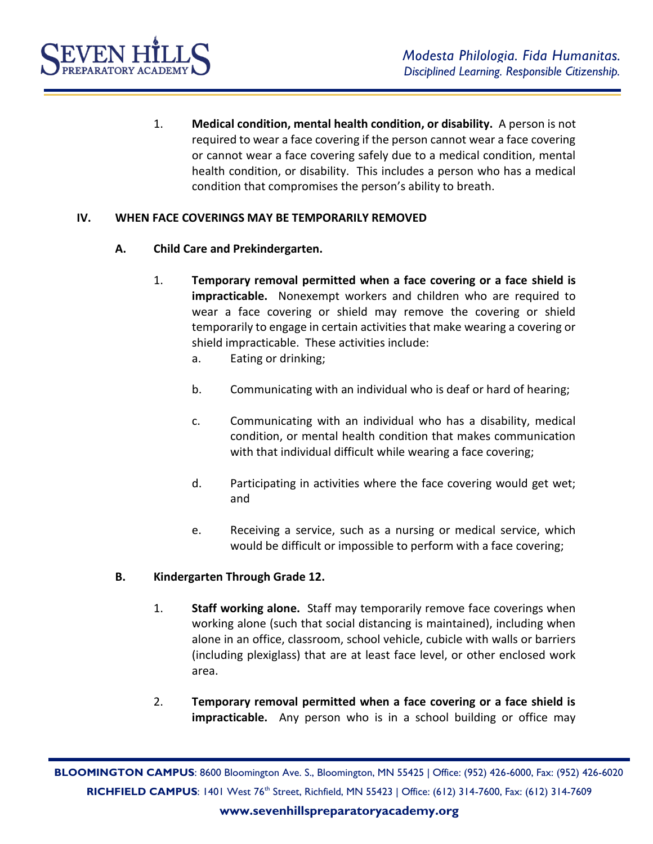

1. **Medical condition, mental health condition, or disability.** A person is not required to wear a face covering if the person cannot wear a face covering or cannot wear a face covering safely due to a medical condition, mental health condition, or disability. This includes a person who has a medical condition that compromises the person's ability to breath.

## **IV. WHEN FACE COVERINGS MAY BE TEMPORARILY REMOVED**

- **A. Child Care and Prekindergarten.** 
	- 1. **Temporary removal permitted when a face covering or a face shield is impracticable.** Nonexempt workers and children who are required to wear a face covering or shield may remove the covering or shield temporarily to engage in certain activities that make wearing a covering or shield impracticable. These activities include:
		- a. Eating or drinking;
		- b. Communicating with an individual who is deaf or hard of hearing;
		- c. Communicating with an individual who has a disability, medical condition, or mental health condition that makes communication with that individual difficult while wearing a face covering;
		- d. Participating in activities where the face covering would get wet; and
		- e. Receiving a service, such as a nursing or medical service, which would be difficult or impossible to perform with a face covering;

## **B. Kindergarten Through Grade 12.**

- 1. **Staff working alone.** Staff may temporarily remove face coverings when working alone (such that social distancing is maintained), including when alone in an office, classroom, school vehicle, cubicle with walls or barriers (including plexiglass) that are at least face level, or other enclosed work area.
- 2. **Temporary removal permitted when a face covering or a face shield is impracticable.** Any person who is in a school building or office may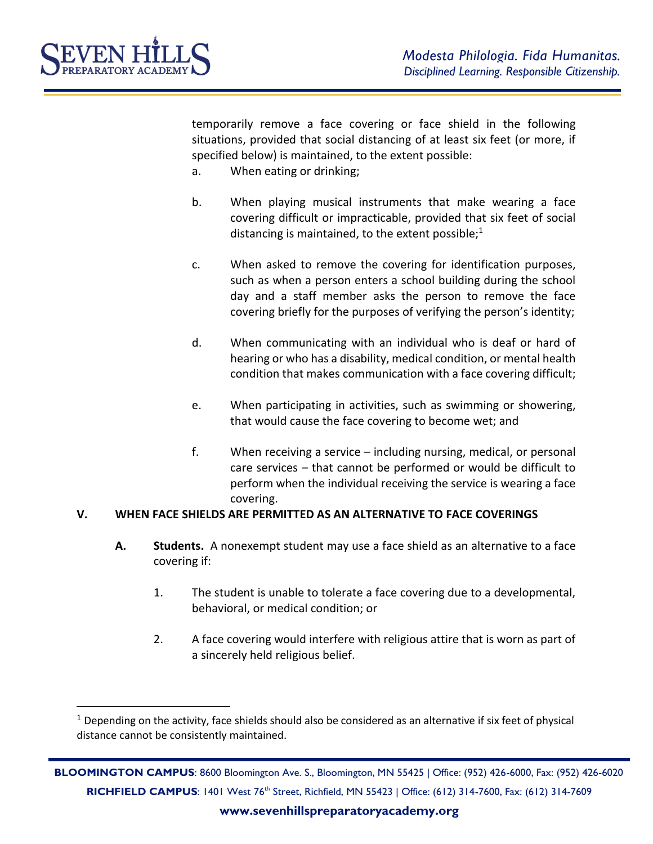

 $\overline{a}$ 

temporarily remove a face covering or face shield in the following situations, provided that social distancing of at least six feet (or more, if specified below) is maintained, to the extent possible:

- a. When eating or drinking;
- b. When playing musical instruments that make wearing a face covering difficult or impracticable, provided that six feet of social distancing is maintained, to the extent possible; $1$
- c. When asked to remove the covering for identification purposes, such as when a person enters a school building during the school day and a staff member asks the person to remove the face covering briefly for the purposes of verifying the person's identity;
- d. When communicating with an individual who is deaf or hard of hearing or who has a disability, medical condition, or mental health condition that makes communication with a face covering difficult;
- e. When participating in activities, such as swimming or showering, that would cause the face covering to become wet; and
- f. When receiving a service including nursing, medical, or personal care services – that cannot be performed or would be difficult to perform when the individual receiving the service is wearing a face covering.

## **V. WHEN FACE SHIELDS ARE PERMITTED AS AN ALTERNATIVE TO FACE COVERINGS**

- **A. Students.** A nonexempt student may use a face shield as an alternative to a face covering if:
	- 1. The student is unable to tolerate a face covering due to a developmental, behavioral, or medical condition; or
	- 2. A face covering would interfere with religious attire that is worn as part of a sincerely held religious belief.

 $1$  Depending on the activity, face shields should also be considered as an alternative if six feet of physical distance cannot be consistently maintained.

**BLOOMINGTON CAMPUS**: 8600 Bloomington Ave. S., Bloomington, MN 55425 | Office: (952) 426-6000, Fax: (952) 426-6020 **RICHFIELD CAMPUS**: 1401 West 76<sup>th</sup> Street, Richfield, MN 55423 | Office: (612) 314-7600, Fax: (612) 314-7609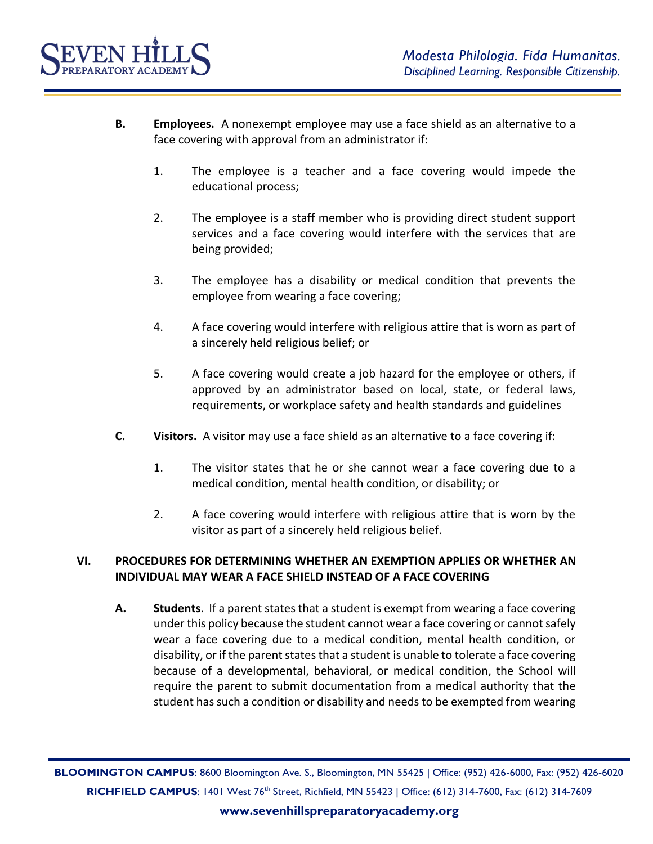

- **B. Employees.** A nonexempt employee may use a face shield as an alternative to a face covering with approval from an administrator if:
	- 1. The employee is a teacher and a face covering would impede the educational process;
	- 2. The employee is a staff member who is providing direct student support services and a face covering would interfere with the services that are being provided;
	- 3. The employee has a disability or medical condition that prevents the employee from wearing a face covering;
	- 4. A face covering would interfere with religious attire that is worn as part of a sincerely held religious belief; or
	- 5. A face covering would create a job hazard for the employee or others, if approved by an administrator based on local, state, or federal laws, requirements, or workplace safety and health standards and guidelines
- **C. Visitors.** A visitor may use a face shield as an alternative to a face covering if:
	- 1. The visitor states that he or she cannot wear a face covering due to a medical condition, mental health condition, or disability; or
	- 2. A face covering would interfere with religious attire that is worn by the visitor as part of a sincerely held religious belief.

## **VI. PROCEDURES FOR DETERMINING WHETHER AN EXEMPTION APPLIES OR WHETHER AN INDIVIDUAL MAY WEAR A FACE SHIELD INSTEAD OF A FACE COVERING**

**A. Students**. If a parent states that a student is exempt from wearing a face covering under this policy because the student cannot wear a face covering or cannot safely wear a face covering due to a medical condition, mental health condition, or disability, or if the parent states that a student is unable to tolerate a face covering because of a developmental, behavioral, or medical condition, the School will require the parent to submit documentation from a medical authority that the student has such a condition or disability and needs to be exempted from wearing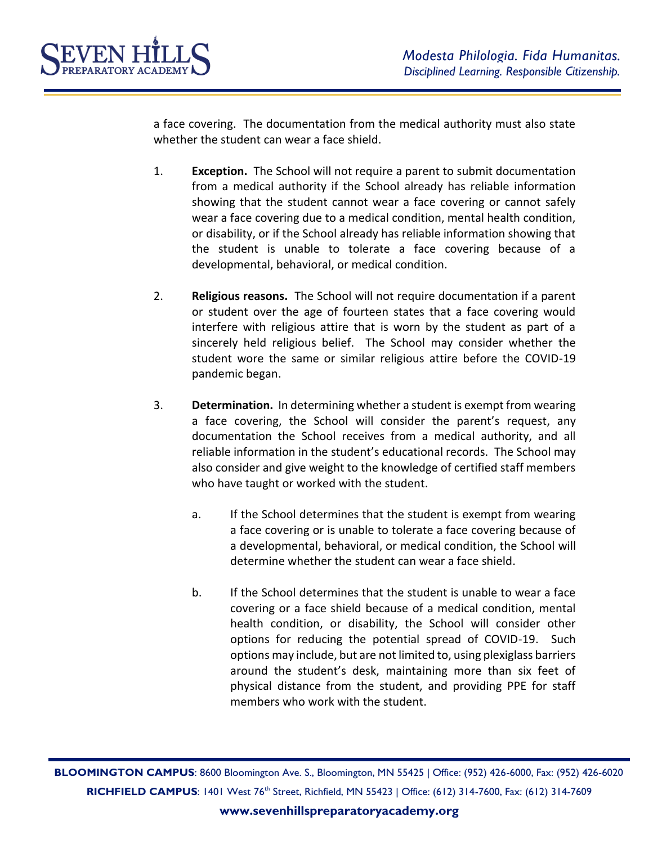

a face covering. The documentation from the medical authority must also state whether the student can wear a face shield.

- 1. **Exception.** The School will not require a parent to submit documentation from a medical authority if the School already has reliable information showing that the student cannot wear a face covering or cannot safely wear a face covering due to a medical condition, mental health condition, or disability, or if the School already has reliable information showing that the student is unable to tolerate a face covering because of a developmental, behavioral, or medical condition.
- 2. **Religious reasons.** The School will not require documentation if a parent or student over the age of fourteen states that a face covering would interfere with religious attire that is worn by the student as part of a sincerely held religious belief. The School may consider whether the student wore the same or similar religious attire before the COVID-19 pandemic began.
- 3. **Determination.** In determining whether a student is exempt from wearing a face covering, the School will consider the parent's request, any documentation the School receives from a medical authority, and all reliable information in the student's educational records. The School may also consider and give weight to the knowledge of certified staff members who have taught or worked with the student.
	- a. If the School determines that the student is exempt from wearing a face covering or is unable to tolerate a face covering because of a developmental, behavioral, or medical condition, the School will determine whether the student can wear a face shield.
	- b. If the School determines that the student is unable to wear a face covering or a face shield because of a medical condition, mental health condition, or disability, the School will consider other options for reducing the potential spread of COVID-19. Such options may include, but are not limited to, using plexiglass barriers around the student's desk, maintaining more than six feet of physical distance from the student, and providing PPE for staff members who work with the student.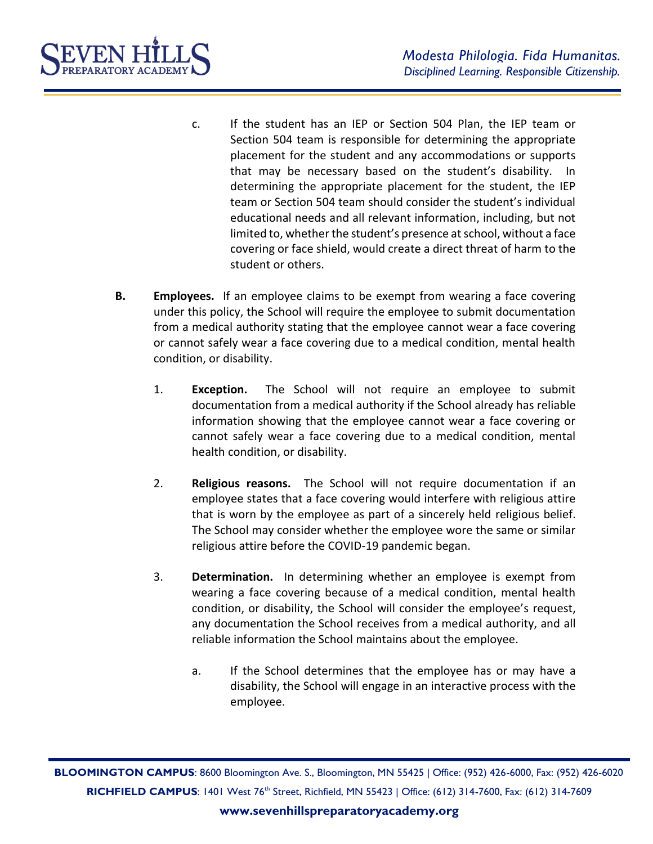- c. If the student has an IEP or Section 504 Plan, the IEP team or Section 504 team is responsible for determining the appropriate placement for the student and any accommodations or supports that may be necessary based on the student's disability. In determining the appropriate placement for the student, the IEP team or Section 504 team should consider the student's individual educational needs and all relevant information, including, but not limited to, whether the student's presence at school, without a face covering or face shield, would create a direct threat of harm to the student or others.
- **B. Employees.** If an employee claims to be exempt from wearing a face covering under this policy, the School will require the employee to submit documentation from a medical authority stating that the employee cannot wear a face covering or cannot safely wear a face covering due to a medical condition, mental health condition, or disability.
	- 1. **Exception.** The School will not require an employee to submit documentation from a medical authority if the School already has reliable information showing that the employee cannot wear a face covering or cannot safely wear a face covering due to a medical condition, mental health condition, or disability.
	- 2. **Religious reasons.** The School will not require documentation if an employee states that a face covering would interfere with religious attire that is worn by the employee as part of a sincerely held religious belief. The School may consider whether the employee wore the same or similar religious attire before the COVID-19 pandemic began.
	- 3. **Determination.** In determining whether an employee is exempt from wearing a face covering because of a medical condition, mental health condition, or disability, the School will consider the employee's request, any documentation the School receives from a medical authority, and all reliable information the School maintains about the employee.
		- a. If the School determines that the employee has or may have a disability, the School will engage in an interactive process with the employee.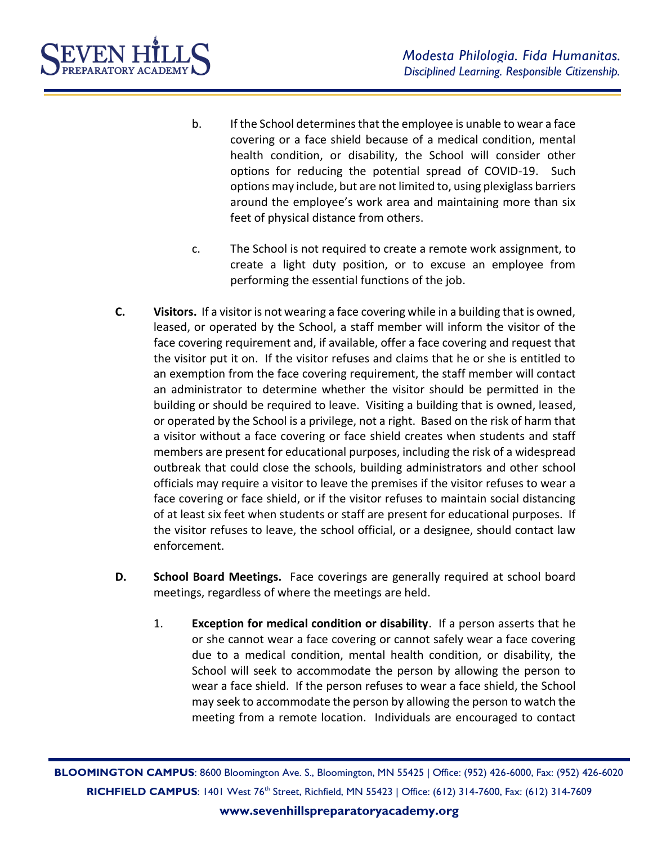

- b. If the School determines that the employee is unable to wear a face covering or a face shield because of a medical condition, mental health condition, or disability, the School will consider other options for reducing the potential spread of COVID-19. Such options may include, but are not limited to, using plexiglass barriers around the employee's work area and maintaining more than six feet of physical distance from others.
- c. The School is not required to create a remote work assignment, to create a light duty position, or to excuse an employee from performing the essential functions of the job.
- **C. Visitors.** If a visitor is not wearing a face covering while in a building that is owned, leased, or operated by the School, a staff member will inform the visitor of the face covering requirement and, if available, offer a face covering and request that the visitor put it on. If the visitor refuses and claims that he or she is entitled to an exemption from the face covering requirement, the staff member will contact an administrator to determine whether the visitor should be permitted in the building or should be required to leave. Visiting a building that is owned, leased, or operated by the School is a privilege, not a right. Based on the risk of harm that a visitor without a face covering or face shield creates when students and staff members are present for educational purposes, including the risk of a widespread outbreak that could close the schools, building administrators and other school officials may require a visitor to leave the premises if the visitor refuses to wear a face covering or face shield, or if the visitor refuses to maintain social distancing of at least six feet when students or staff are present for educational purposes. If the visitor refuses to leave, the school official, or a designee, should contact law enforcement.
- **D. School Board Meetings.** Face coverings are generally required at school board meetings, regardless of where the meetings are held.
	- 1. **Exception for medical condition or disability**. If a person asserts that he or she cannot wear a face covering or cannot safely wear a face covering due to a medical condition, mental health condition, or disability, the School will seek to accommodate the person by allowing the person to wear a face shield. If the person refuses to wear a face shield, the School may seek to accommodate the person by allowing the person to watch the meeting from a remote location. Individuals are encouraged to contact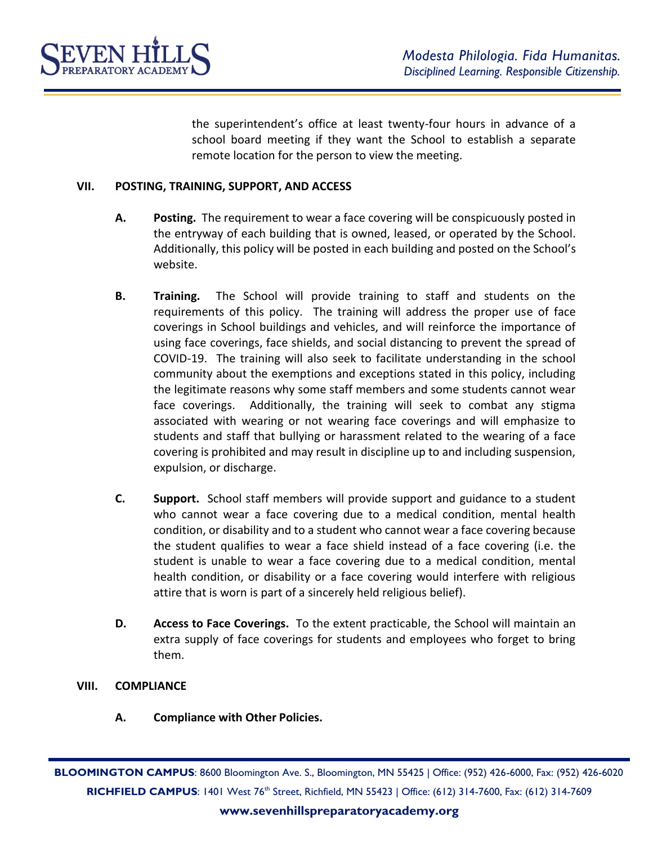

the superintendent's office at least twenty-four hours in advance of a school board meeting if they want the School to establish a separate remote location for the person to view the meeting.

## **VII. POSTING, TRAINING, SUPPORT, AND ACCESS**

- **A. Posting.** The requirement to wear a face covering will be conspicuously posted in the entryway of each building that is owned, leased, or operated by the School. Additionally, this policy will be posted in each building and posted on the School's website.
- **B. Training.** The School will provide training to staff and students on the requirements of this policy. The training will address the proper use of face coverings in School buildings and vehicles, and will reinforce the importance of using face coverings, face shields, and social distancing to prevent the spread of COVID-19. The training will also seek to facilitate understanding in the school community about the exemptions and exceptions stated in this policy, including the legitimate reasons why some staff members and some students cannot wear face coverings. Additionally, the training will seek to combat any stigma associated with wearing or not wearing face coverings and will emphasize to students and staff that bullying or harassment related to the wearing of a face covering is prohibited and may result in discipline up to and including suspension, expulsion, or discharge.
- **C. Support.** School staff members will provide support and guidance to a student who cannot wear a face covering due to a medical condition, mental health condition, or disability and to a student who cannot wear a face covering because the student qualifies to wear a face shield instead of a face covering (i.e. the student is unable to wear a face covering due to a medical condition, mental health condition, or disability or a face covering would interfere with religious attire that is worn is part of a sincerely held religious belief).
- **D. Access to Face Coverings.** To the extent practicable, the School will maintain an extra supply of face coverings for students and employees who forget to bring them.

### **VIII. COMPLIANCE**

**A. Compliance with Other Policies.**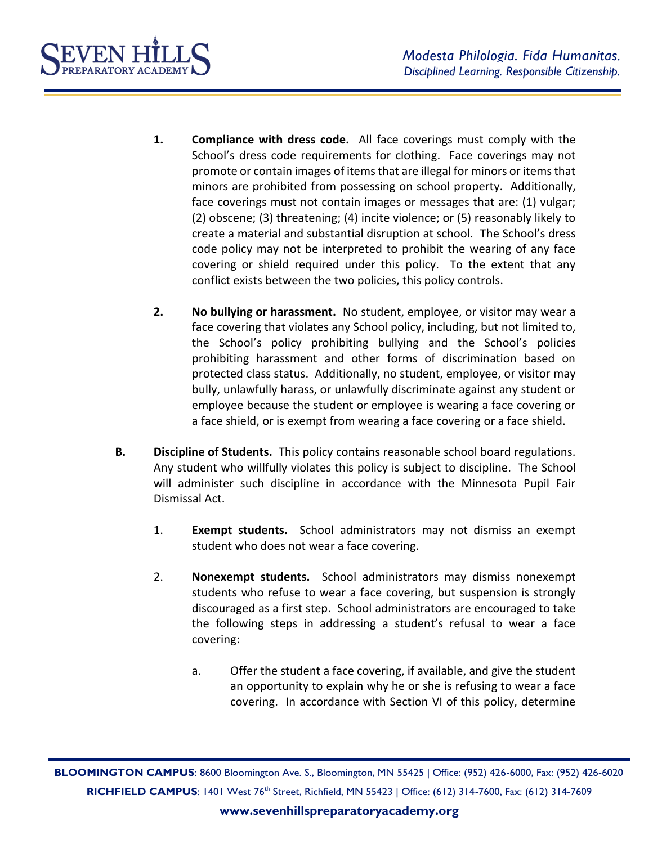

- **1. Compliance with dress code.** All face coverings must comply with the School's dress code requirements for clothing. Face coverings may not promote or contain images of items that are illegal for minors or items that minors are prohibited from possessing on school property. Additionally, face coverings must not contain images or messages that are: (1) vulgar; (2) obscene; (3) threatening; (4) incite violence; or (5) reasonably likely to create a material and substantial disruption at school. The School's dress code policy may not be interpreted to prohibit the wearing of any face covering or shield required under this policy. To the extent that any conflict exists between the two policies, this policy controls.
- **2. No bullying or harassment.** No student, employee, or visitor may wear a face covering that violates any School policy, including, but not limited to, the School's policy prohibiting bullying and the School's policies prohibiting harassment and other forms of discrimination based on protected class status. Additionally, no student, employee, or visitor may bully, unlawfully harass, or unlawfully discriminate against any student or employee because the student or employee is wearing a face covering or a face shield, or is exempt from wearing a face covering or a face shield.
- **B. Discipline of Students.** This policy contains reasonable school board regulations. Any student who willfully violates this policy is subject to discipline. The School will administer such discipline in accordance with the Minnesota Pupil Fair Dismissal Act.
	- 1. **Exempt students.** School administrators may not dismiss an exempt student who does not wear a face covering.
	- 2. **Nonexempt students.** School administrators may dismiss nonexempt students who refuse to wear a face covering, but suspension is strongly discouraged as a first step. School administrators are encouraged to take the following steps in addressing a student's refusal to wear a face covering:
		- a. Offer the student a face covering, if available, and give the student an opportunity to explain why he or she is refusing to wear a face covering. In accordance with Section VI of this policy, determine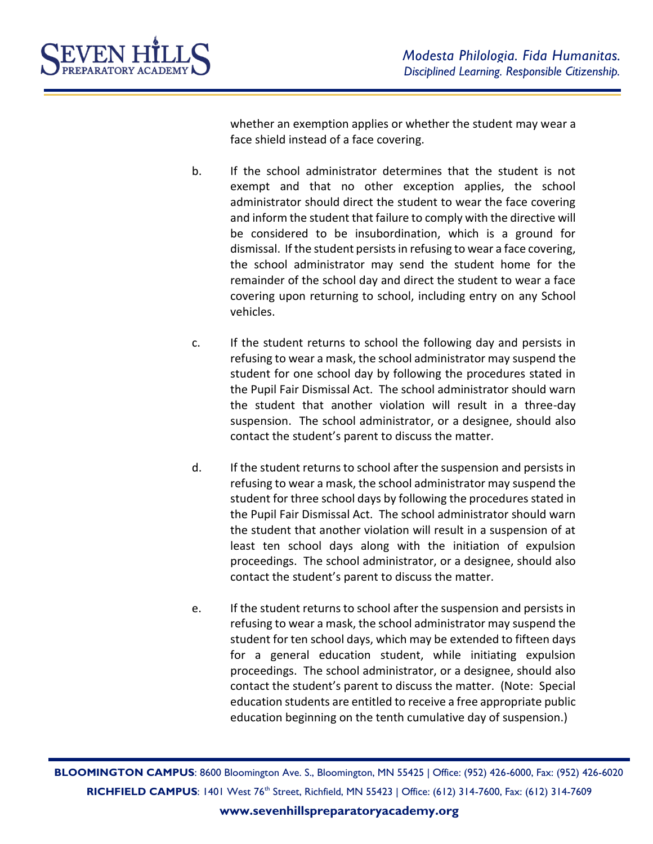

whether an exemption applies or whether the student may wear a face shield instead of a face covering.

- b. If the school administrator determines that the student is not exempt and that no other exception applies, the school administrator should direct the student to wear the face covering and inform the student that failure to comply with the directive will be considered to be insubordination, which is a ground for dismissal. If the student persists in refusing to wear a face covering, the school administrator may send the student home for the remainder of the school day and direct the student to wear a face covering upon returning to school, including entry on any School vehicles.
- c. If the student returns to school the following day and persists in refusing to wear a mask, the school administrator may suspend the student for one school day by following the procedures stated in the Pupil Fair Dismissal Act. The school administrator should warn the student that another violation will result in a three-day suspension. The school administrator, or a designee, should also contact the student's parent to discuss the matter.
- d. If the student returns to school after the suspension and persists in refusing to wear a mask, the school administrator may suspend the student for three school days by following the procedures stated in the Pupil Fair Dismissal Act. The school administrator should warn the student that another violation will result in a suspension of at least ten school days along with the initiation of expulsion proceedings. The school administrator, or a designee, should also contact the student's parent to discuss the matter.
- e. If the student returns to school after the suspension and persists in refusing to wear a mask, the school administrator may suspend the student for ten school days, which may be extended to fifteen days for a general education student, while initiating expulsion proceedings. The school administrator, or a designee, should also contact the student's parent to discuss the matter. (Note: Special education students are entitled to receive a free appropriate public education beginning on the tenth cumulative day of suspension.)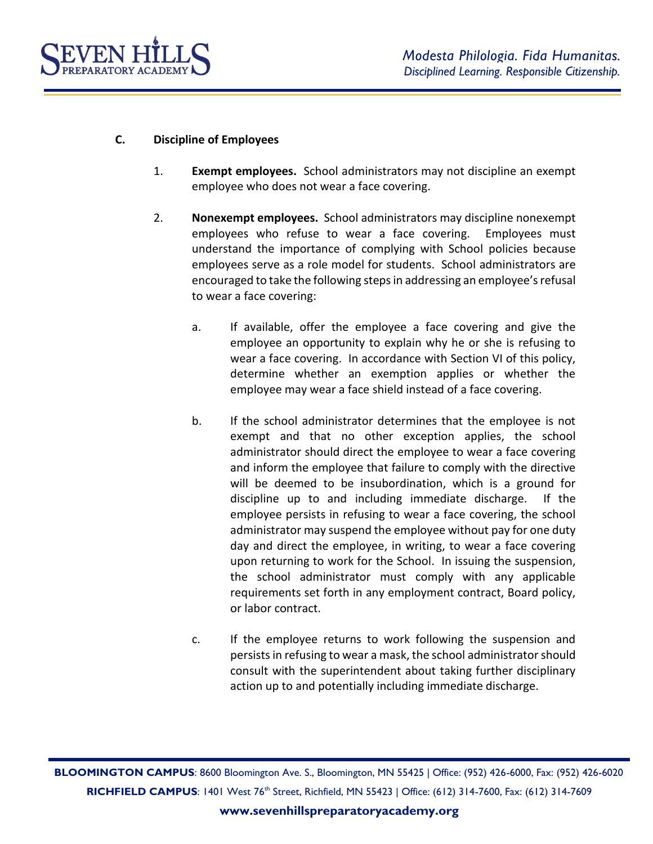

# **C. Discipline of Employees**

- 1. **Exempt employees.** School administrators may not discipline an exempt employee who does not wear a face covering.
- 2. **Nonexempt employees.** School administrators may discipline nonexempt employees who refuse to wear a face covering. Employees must understand the importance of complying with School policies because employees serve as a role model for students. School administrators are encouraged to take the following steps in addressing an employee's refusal to wear a face covering:
	- a. If available, offer the employee a face covering and give the employee an opportunity to explain why he or she is refusing to wear a face covering. In accordance with Section VI of this policy, determine whether an exemption applies or whether the employee may wear a face shield instead of a face covering.
	- b. If the school administrator determines that the employee is not exempt and that no other exception applies, the school administrator should direct the employee to wear a face covering and inform the employee that failure to comply with the directive will be deemed to be insubordination, which is a ground for discipline up to and including immediate discharge. If the employee persists in refusing to wear a face covering, the school administrator may suspend the employee without pay for one duty day and direct the employee, in writing, to wear a face covering upon returning to work for the School. In issuing the suspension, the school administrator must comply with any applicable requirements set forth in any employment contract, Board policy, or labor contract.
	- c. If the employee returns to work following the suspension and persists in refusing to wear a mask, the school administrator should consult with the superintendent about taking further disciplinary action up to and potentially including immediate discharge.